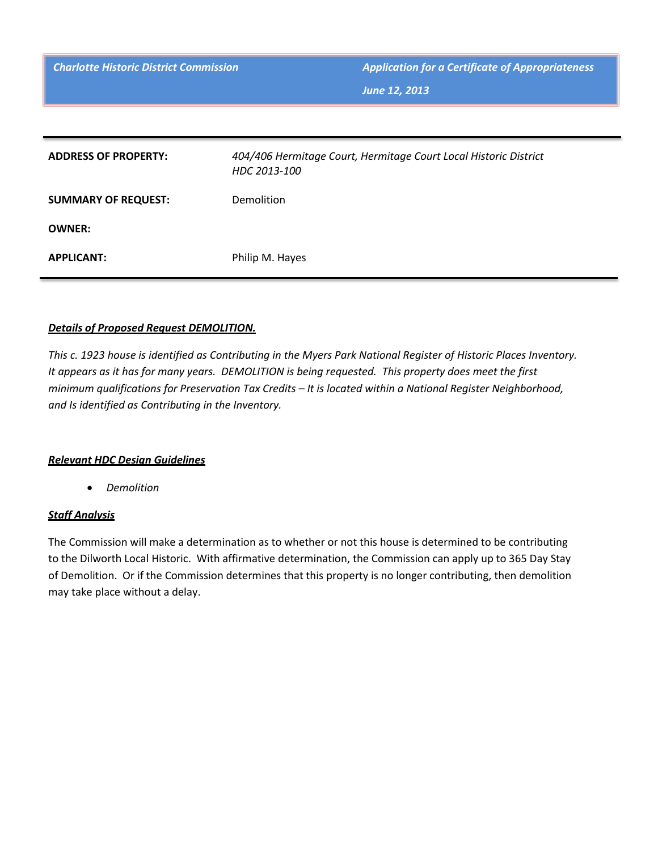**Charlotte Historic District Commission Application for a Certificate of Appropriateness** 

*June 12, 2013*

| <b>ADDRESS OF PROPERTY:</b> | 404/406 Hermitage Court, Hermitage Court Local Historic District<br>HDC 2013-100 |
|-----------------------------|----------------------------------------------------------------------------------|
| <b>SUMMARY OF REQUEST:</b>  | <b>Demolition</b>                                                                |
| <b>OWNER:</b>               |                                                                                  |
| <b>APPLICANT:</b>           | Philip M. Hayes                                                                  |

## *Details of Proposed Request DEMOLITION.*

*This c. 1923 house is identified as Contributing in the Myers Park National Register of Historic Places Inventory. It appears as it has for many years. DEMOLITION is being requested. This property does meet the first minimum qualifications for Preservation Tax Credits – It is located within a National Register Neighborhood, and Is identified as Contributing in the Inventory.* 

## *Relevant HDC Design Guidelines*

• *Demolition*

## *Staff Analysis*

The Commission will make a determination as to whether or not this house is determined to be contributing to the Dilworth Local Historic. With affirmative determination, the Commission can apply up to 365 Day Stay of Demolition. Or if the Commission determines that this property is no longer contributing, then demolition may take place without a delay.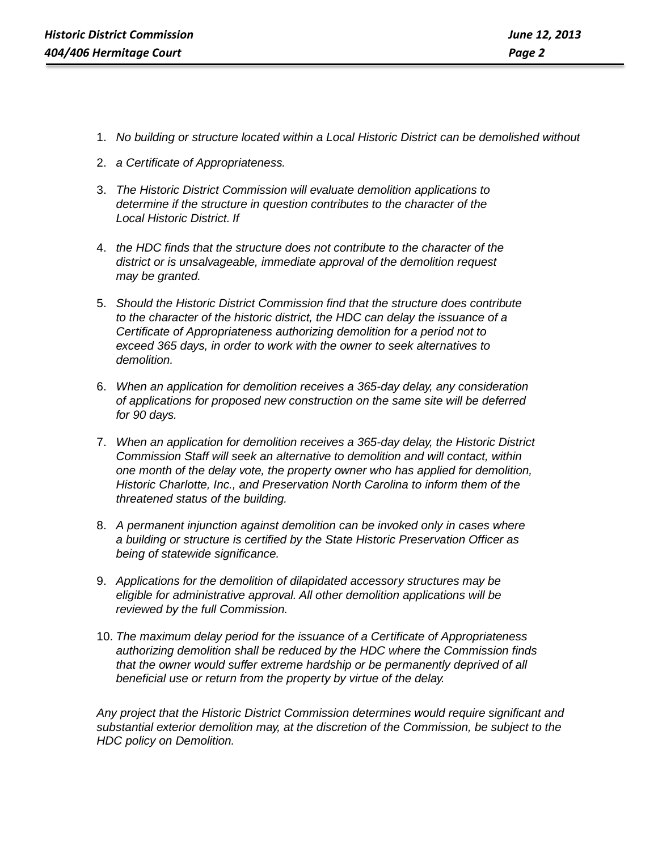- 1. *No building or structure located within a Local Historic District can be demolished without*
- 2. *a Certificate of Appropriateness.*
- 3. *The Historic District Commission will evaluate demolition applications to determine if the structure in question contributes to the character of the Local Historic District. If*
- 4. *the HDC finds that the structure does not contribute to the character of the district or is unsalvageable, immediate approval of the demolition request may be granted.*
- 5. *Should the Historic District Commission find that the structure does contribute to the character of the historic district, the HDC can delay the issuance of a Certificate of Appropriateness authorizing demolition for a period not to exceed 365 days, in order to work with the owner to seek alternatives to demolition.*
- 6. *When an application for demolition receives a 365-day delay, any consideration of applications for proposed new construction on the same site will be deferred for 90 days.*
- 7. *When an application for demolition receives a 365-day delay, the Historic District Commission Staff will seek an alternative to demolition and will contact, within one month of the delay vote, the property owner who has applied for demolition, Historic Charlotte, Inc., and Preservation North Carolina to inform them of the threatened status of the building.*
- 8. *A permanent injunction against demolition can be invoked only in cases where a building or structure is certified by the State Historic Preservation Officer as being of statewide significance.*
- 9. *Applications for the demolition of dilapidated accessory structures may be eligible for administrative approval. All other demolition applications will be reviewed by the full Commission.*
- 10. *The maximum delay period for the issuance of a Certificate of Appropriateness authorizing demolition shall be reduced by the HDC where the Commission finds that the owner would suffer extreme hardship or be permanently deprived of all beneficial use or return from the property by virtue of the delay.*

*Any project that the Historic District Commission determines would require significant and substantial exterior demolition may, at the discretion of the Commission, be subject to the HDC policy on Demolition.*